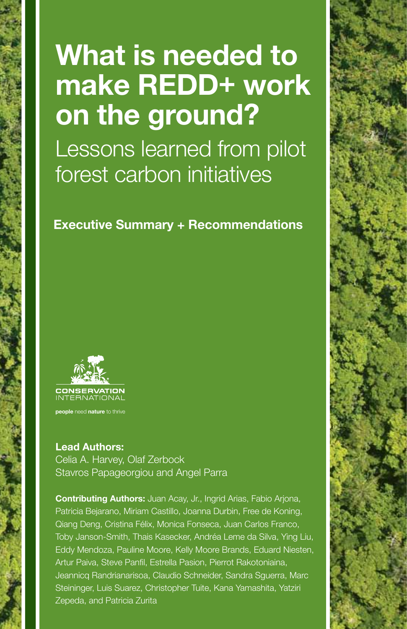## **What is needed to make REDD+ work on the ground?**

Lessons learned from pilot forest carbon initiatives

**Executive Summary + Recommendations**



**people** need **nature** to thrive

**Lead Authors:** Celia A. Harvey, Olaf Zerbock Stavros Papageorgiou and Angel Parra

**Contributing Authors:** Juan Acay, Jr., Ingrid Arias, Fabio Arjona, Patricia Bejarano, Miriam Castillo, Joanna Durbin, Free de Koning, Qiang Deng, Cristina Félix, Monica Fonseca, Juan Carlos Franco, Toby Janson-Smith, Thais Kasecker, Andréa Leme da Silva, Ying Liu, Eddy Mendoza, Pauline Moore, Kelly Moore Brands, Eduard Niesten, Artur Paiva, Steve Panfil, Estrella Pasion, Pierrot Rakotoniaina, Jeannicq Randrianarisoa, Claudio Schneider, Sandra Sguerra, Marc Steininger, Luis Suarez, Christopher Tuite, Kana Yamashita, Yatziri Zepeda, and Patricia Zurita

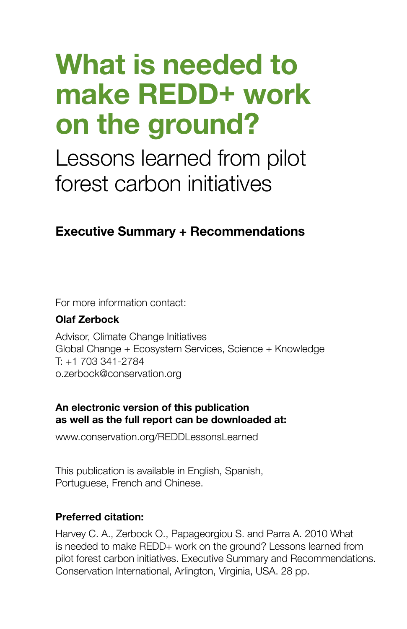## **What is needed to make REDD+ work on the ground?**

Lessons learned from pilot forest carbon initiatives

## **Executive Summary + Recommendations**

For more information contact:

#### **Olaf Zerbock**

Advisor, Climate Change Initiatives Global Change + Ecosystem Services, Science + Knowledge T: +1 703 341-2784 o.zerbock@conservation.org

#### **An electronic version of this publication as well as the full report can be downloaded at:**

www.conservation.org/REDDLessonsLearned

This publication is available in English, Spanish, Portuguese, French and Chinese.

#### **Preferred citation:**

Harvey C. A., Zerbock O., Papageorgiou S. and Parra A. 2010 What is needed to make REDD+ work on the ground? Lessons learned from pilot forest carbon initiatives. Executive Summary and Recommendations. Conservation International, Arlington, Virginia, USA. 28 pp.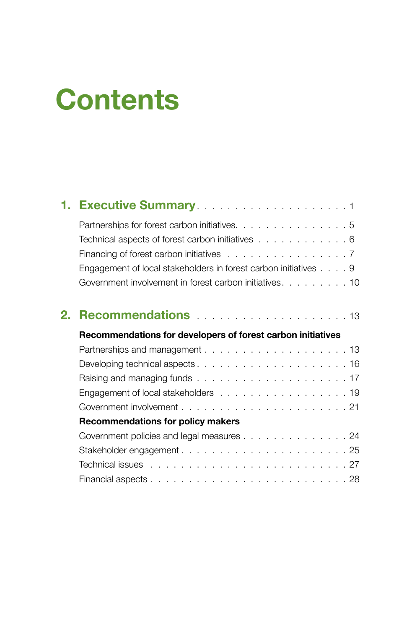# **Contents**

|    | 1. Executive Summary <b>Executive Summary Executive Summary</b>                    |
|----|------------------------------------------------------------------------------------|
|    | Partnerships for forest carbon initiatives. 5                                      |
|    | Technical aspects of forest carbon initiatives 6                                   |
|    | Financing of forest carbon initiatives $\ldots \ldots \ldots \ldots \ldots \ldots$ |
|    | Engagement of local stakeholders in forest carbon initiatives 9                    |
|    | Government involvement in forest carbon initiatives. 10                            |
| 2. |                                                                                    |
|    | Recommendations for developers of forest carbon initiatives                        |
|    |                                                                                    |
|    |                                                                                    |
|    |                                                                                    |
|    | Engagement of local stakeholders 19                                                |
|    |                                                                                    |
|    | Recommendations for policy makers                                                  |
|    | Government policies and legal measures 24                                          |
|    |                                                                                    |
|    |                                                                                    |
|    |                                                                                    |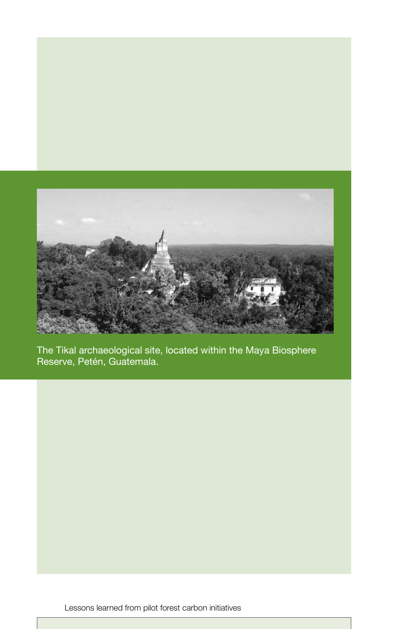

The Tikal archaeological site, located within the Maya Biosphere Reserve, Petén, Guatemala.

Lessons learned from pilot forest carbon initiatives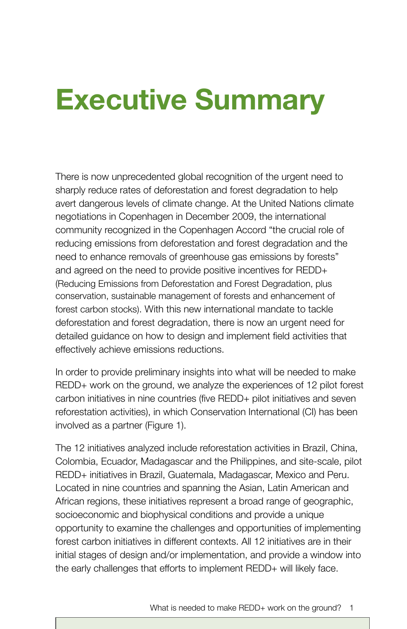## **Executive Summary**

There is now unprecedented global recognition of the urgent need to sharply reduce rates of deforestation and forest degradation to help avert dangerous levels of climate change. At the United Nations climate negotiations in Copenhagen in December 2009, the international community recognized in the Copenhagen Accord "the crucial role of reducing emissions from deforestation and forest degradation and the need to enhance removals of greenhouse gas emissions by forests" and agreed on the need to provide positive incentives for REDD+ (Reducing Emissions from Deforestation and Forest Degradation, plus conservation, sustainable management of forests and enhancement of forest carbon stocks). With this new international mandate to tackle deforestation and forest degradation, there is now an urgent need for detailed guidance on how to design and implement field activities that effectively achieve emissions reductions.

In order to provide preliminary insights into what will be needed to make REDD+ work on the ground, we analyze the experiences of 12 pilot forest carbon initiatives in nine countries (five REDD+ pilot initiatives and seven reforestation activities), in which Conservation International (CI) has been involved as a partner (Figure 1).

The 12 initiatives analyzed include reforestation activities in Brazil, China, Colombia, Ecuador, Madagascar and the Philippines, and site-scale, pilot REDD+ initiatives in Brazil, Guatemala, Madagascar, Mexico and Peru. Located in nine countries and spanning the Asian, Latin American and African regions, these initiatives represent a broad range of geographic, socioeconomic and biophysical conditions and provide a unique opportunity to examine the challenges and opportunities of implementing forest carbon initiatives in different contexts. All 12 initiatives are in their initial stages of design and/or implementation, and provide a window into the early challenges that efforts to implement REDD+ will likely face.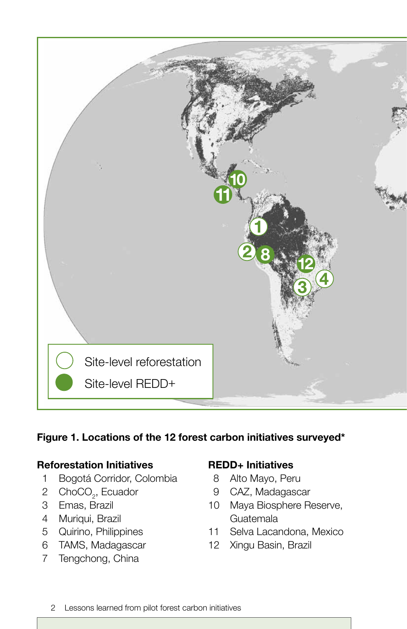

#### **Figure 1. Locations of the 12 forest carbon initiatives surveyed\***

#### **Reforestation Initiatives**

- Bogotá Corridor, Colombia
- 2 ChoCO<sub>2</sub>, Ecuador
- Emas, Brazil
- Muriqui, Brazil
- Quirino, Philippines
- TAMS, Madagascar
- Tengchong, China

#### **REDD+ Initiatives**

- Alto Mayo, Peru
- CAZ, Madagascar
- Maya Biosphere Reserve, Guatemala
- Selva Lacandona, Mexico
- Xingu Basin, Brazil
- Lessons learned from pilot forest carbon initiatives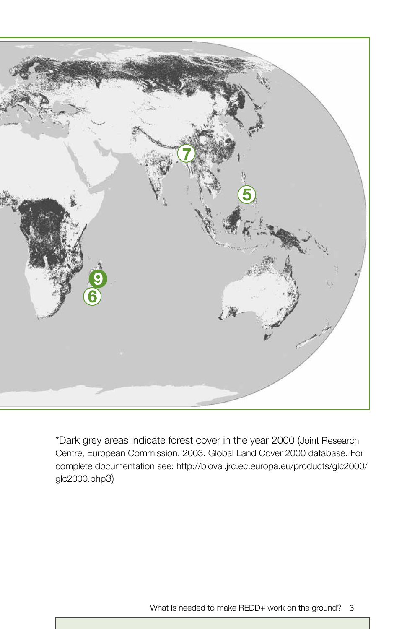

\*Dark grey areas indicate forest cover in the year 2000 (Joint Research Centre, European Commission, 2003. Global Land Cover 2000 database. For complete documentation see: http://bioval.jrc.ec.europa.eu/products/glc2000/ glc2000.php3)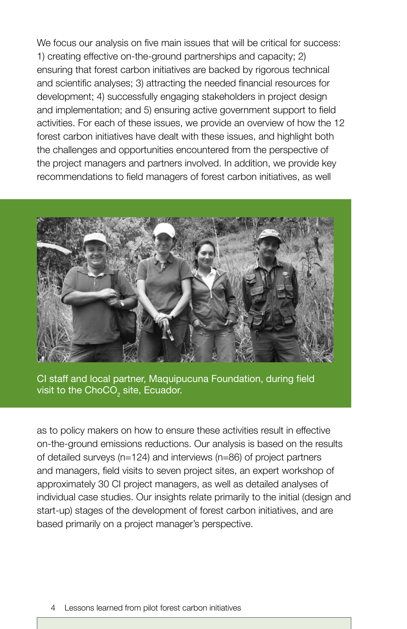We focus our analysis on five main issues that will be critical for success: 1) creating effective on-the-ground partnerships and capacity; 2) ensuring that forest carbon initiatives are backed by rigorous technical and scientific analyses; 3) attracting the needed financial resources for development; 4) successfully engaging stakeholders in project design and implementation; and 5) ensuring active government support to field activities. For each of these issues, we provide an overview of how the 12 forest carbon initiatives have dealt with these issues, and highlight both the challenges and opportunities encountered from the perspective of the project managers and partners involved. In addition, we provide key recommendations to field managers of forest carbon initiatives, as well



CI staff and local partner, Maquipucuna Foundation, during field visit to the ChoCO $_{\tiny 2}$  site, Ecuador.

as to policy makers on how to ensure these activities result in effective on-the-ground emissions reductions. Our analysis is based on the results of detailed surveys (n=124) and interviews (n=86) of project partners and managers, field visits to seven project sites, an expert workshop of approximately 30 CI project managers, as well as detailed analyses of individual case studies. Our insights relate primarily to the initial (design and start-up) stages of the development of forest carbon initiatives, and are based primarily on a project manager's perspective.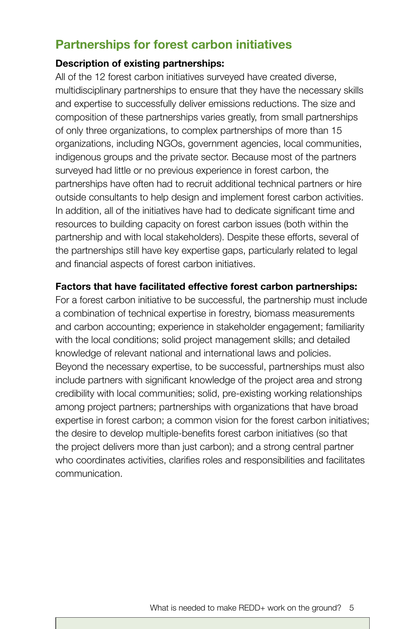### **Partnerships for forest carbon initiatives**

#### **Description of existing partnerships:**

All of the 12 forest carbon initiatives surveyed have created diverse, multidisciplinary partnerships to ensure that they have the necessary skills and expertise to successfully deliver emissions reductions. The size and composition of these partnerships varies greatly, from small partnerships of only three organizations, to complex partnerships of more than 15 organizations, including NGOs, government agencies, local communities, indigenous groups and the private sector. Because most of the partners surveyed had little or no previous experience in forest carbon, the partnerships have often had to recruit additional technical partners or hire outside consultants to help design and implement forest carbon activities. In addition, all of the initiatives have had to dedicate significant time and resources to building capacity on forest carbon issues (both within the partnership and with local stakeholders). Despite these efforts, several of the partnerships still have key expertise gaps, particularly related to legal and financial aspects of forest carbon initiatives.

#### **Factors that have facilitated effective forest carbon partnerships:**

For a forest carbon initiative to be successful, the partnership must include a combination of technical expertise in forestry, biomass measurements and carbon accounting; experience in stakeholder engagement; familiarity with the local conditions; solid project management skills; and detailed knowledge of relevant national and international laws and policies. Beyond the necessary expertise, to be successful, partnerships must also include partners with significant knowledge of the project area and strong credibility with local communities; solid, pre-existing working relationships among project partners; partnerships with organizations that have broad expertise in forest carbon; a common vision for the forest carbon initiatives; the desire to develop multiple-benefits forest carbon initiatives (so that the project delivers more than just carbon); and a strong central partner who coordinates activities, clarifies roles and responsibilities and facilitates communication.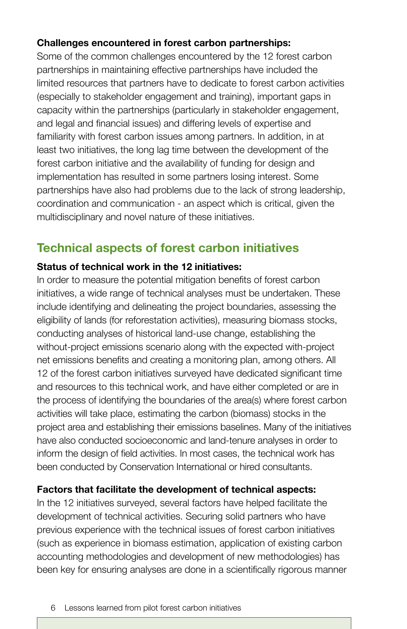#### **Challenges encountered in forest carbon partnerships:**

Some of the common challenges encountered by the 12 forest carbon partnerships in maintaining effective partnerships have included the limited resources that partners have to dedicate to forest carbon activities (especially to stakeholder engagement and training), important gaps in capacity within the partnerships (particularly in stakeholder engagement, and legal and financial issues) and differing levels of expertise and familiarity with forest carbon issues among partners. In addition, in at least two initiatives, the long lag time between the development of the forest carbon initiative and the availability of funding for design and implementation has resulted in some partners losing interest. Some partnerships have also had problems due to the lack of strong leadership, coordination and communication - an aspect which is critical, given the multidisciplinary and novel nature of these initiatives.

## **Technical aspects of forest carbon initiatives**

### **Status of technical work in the 12 initiatives:**

In order to measure the potential mitigation benefits of forest carbon initiatives, a wide range of technical analyses must be undertaken. These include identifying and delineating the project boundaries, assessing the eligibility of lands (for reforestation activities), measuring biomass stocks, conducting analyses of historical land-use change, establishing the without-project emissions scenario along with the expected with-project net emissions benefits and creating a monitoring plan, among others. All 12 of the forest carbon initiatives surveyed have dedicated significant time and resources to this technical work, and have either completed or are in the process of identifying the boundaries of the area(s) where forest carbon activities will take place, estimating the carbon (biomass) stocks in the project area and establishing their emissions baselines. Many of the initiatives have also conducted socioeconomic and land-tenure analyses in order to inform the design of field activities. In most cases, the technical work has been conducted by Conservation International or hired consultants.

#### **Factors that facilitate the development of technical aspects:**

In the 12 initiatives surveyed, several factors have helped facilitate the development of technical activities. Securing solid partners who have previous experience with the technical issues of forest carbon initiatives (such as experience in biomass estimation, application of existing carbon accounting methodologies and development of new methodologies) has been key for ensuring analyses are done in a scientifically rigorous manner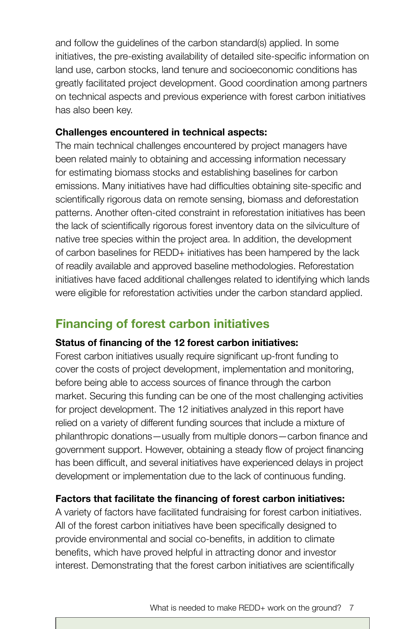and follow the guidelines of the carbon standard(s) applied. In some initiatives, the pre-existing availability of detailed site-specific information on land use, carbon stocks, land tenure and socioeconomic conditions has greatly facilitated project development. Good coordination among partners on technical aspects and previous experience with forest carbon initiatives has also been key.

#### **Challenges encountered in technical aspects:**

The main technical challenges encountered by project managers have been related mainly to obtaining and accessing information necessary for estimating biomass stocks and establishing baselines for carbon emissions. Many initiatives have had difficulties obtaining site-specific and scientifically rigorous data on remote sensing, biomass and deforestation patterns. Another often-cited constraint in reforestation initiatives has been the lack of scientifically rigorous forest inventory data on the silviculture of native tree species within the project area. In addition, the development of carbon baselines for REDD+ initiatives has been hampered by the lack of readily available and approved baseline methodologies. Reforestation initiatives have faced additional challenges related to identifying which lands were eligible for reforestation activities under the carbon standard applied.

## **Financing of forest carbon initiatives**

#### **Status of financing of the 12 forest carbon initiatives:**

Forest carbon initiatives usually require significant up-front funding to cover the costs of project development, implementation and monitoring, before being able to access sources of finance through the carbon market. Securing this funding can be one of the most challenging activities for project development. The 12 initiatives analyzed in this report have relied on a variety of different funding sources that include a mixture of philanthropic donations—usually from multiple donors—carbon finance and government support. However, obtaining a steady flow of project financing has been difficult, and several initiatives have experienced delays in project development or implementation due to the lack of continuous funding.

#### **Factors that facilitate the financing of forest carbon initiatives:**

A variety of factors have facilitated fundraising for forest carbon initiatives. All of the forest carbon initiatives have been specifically designed to provide environmental and social co-benefits, in addition to climate benefits, which have proved helpful in attracting donor and investor interest. Demonstrating that the forest carbon initiatives are scientifically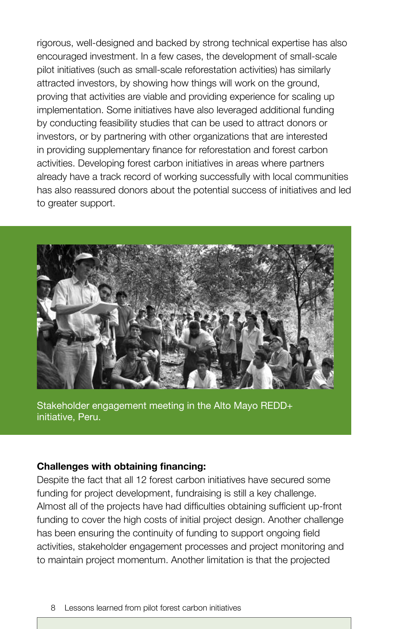rigorous, well-designed and backed by strong technical expertise has also encouraged investment. In a few cases, the development of small-scale pilot initiatives (such as small-scale reforestation activities) has similarly attracted investors, by showing how things will work on the ground, proving that activities are viable and providing experience for scaling up implementation. Some initiatives have also leveraged additional funding by conducting feasibility studies that can be used to attract donors or investors, or by partnering with other organizations that are interested in providing supplementary finance for reforestation and forest carbon activities. Developing forest carbon initiatives in areas where partners already have a track record of working successfully with local communities has also reassured donors about the potential success of initiatives and led to greater support.



Stakeholder engagement meeting in the Alto Mayo REDD+ initiative, Peru.

#### **Challenges with obtaining financing:**

Despite the fact that all 12 forest carbon initiatives have secured some funding for project development, fundraising is still a key challenge. Almost all of the projects have had difficulties obtaining sufficient up-front funding to cover the high costs of initial project design. Another challenge has been ensuring the continuity of funding to support ongoing field activities, stakeholder engagement processes and project monitoring and to maintain project momentum. Another limitation is that the projected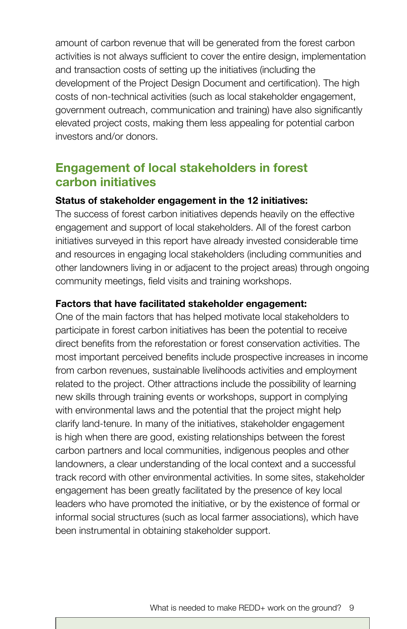amount of carbon revenue that will be generated from the forest carbon activities is not always sufficient to cover the entire design, implementation and transaction costs of setting up the initiatives (including the development of the Project Design Document and certification). The high costs of non-technical activities (such as local stakeholder engagement, government outreach, communication and training) have also significantly elevated project costs, making them less appealing for potential carbon investors and/or donors.

### **Engagement of local stakeholders in forest carbon initiatives**

#### **Status of stakeholder engagement in the 12 initiatives:**

The success of forest carbon initiatives depends heavily on the effective engagement and support of local stakeholders. All of the forest carbon initiatives surveyed in this report have already invested considerable time and resources in engaging local stakeholders (including communities and other landowners living in or adjacent to the project areas) through ongoing community meetings, field visits and training workshops.

#### **Factors that have facilitated stakeholder engagement:**

One of the main factors that has helped motivate local stakeholders to participate in forest carbon initiatives has been the potential to receive direct benefits from the reforestation or forest conservation activities. The most important perceived benefits include prospective increases in income from carbon revenues, sustainable livelihoods activities and employment related to the project. Other attractions include the possibility of learning new skills through training events or workshops, support in complying with environmental laws and the potential that the project might help clarify land-tenure. In many of the initiatives, stakeholder engagement is high when there are good, existing relationships between the forest carbon partners and local communities, indigenous peoples and other landowners, a clear understanding of the local context and a successful track record with other environmental activities. In some sites, stakeholder engagement has been greatly facilitated by the presence of key local leaders who have promoted the initiative, or by the existence of formal or informal social structures (such as local farmer associations), which have been instrumental in obtaining stakeholder support.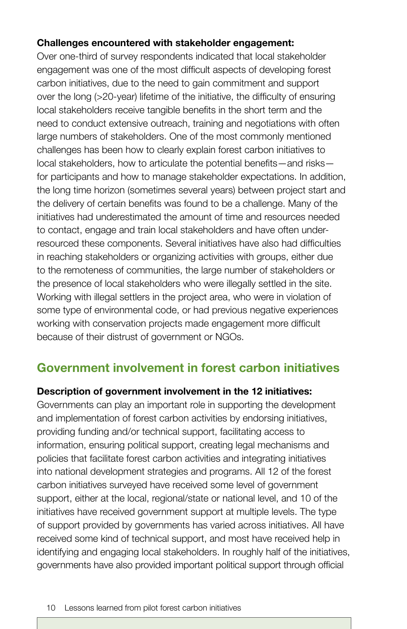#### **Challenges encountered with stakeholder engagement:**

Over one-third of survey respondents indicated that local stakeholder engagement was one of the most difficult aspects of developing forest carbon initiatives, due to the need to gain commitment and support over the long (>20-year) lifetime of the initiative, the difficulty of ensuring local stakeholders receive tangible benefits in the short term and the need to conduct extensive outreach, training and negotiations with often large numbers of stakeholders. One of the most commonly mentioned challenges has been how to clearly explain forest carbon initiatives to local stakeholders, how to articulate the potential benefits—and risks for participants and how to manage stakeholder expectations. In addition, the long time horizon (sometimes several years) between project start and the delivery of certain benefits was found to be a challenge. Many of the initiatives had underestimated the amount of time and resources needed to contact, engage and train local stakeholders and have often underresourced these components. Several initiatives have also had difficulties in reaching stakeholders or organizing activities with groups, either due to the remoteness of communities, the large number of stakeholders or the presence of local stakeholders who were illegally settled in the site. Working with illegal settlers in the project area, who were in violation of some type of environmental code, or had previous negative experiences working with conservation projects made engagement more difficult because of their distrust of government or NGOs.

## **Government involvement in forest carbon initiatives**

#### **Description of government involvement in the 12 initiatives:**

Governments can play an important role in supporting the development and implementation of forest carbon activities by endorsing initiatives, providing funding and/or technical support, facilitating access to information, ensuring political support, creating legal mechanisms and policies that facilitate forest carbon activities and integrating initiatives into national development strategies and programs. All 12 of the forest carbon initiatives surveyed have received some level of government support, either at the local, regional/state or national level, and 10 of the initiatives have received government support at multiple levels. The type of support provided by governments has varied across initiatives. All have received some kind of technical support, and most have received help in identifying and engaging local stakeholders. In roughly half of the initiatives, governments have also provided important political support through official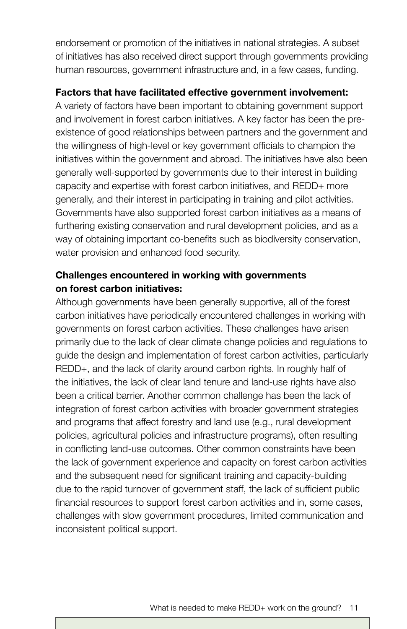endorsement or promotion of the initiatives in national strategies. A subset of initiatives has also received direct support through governments providing human resources, government infrastructure and, in a few cases, funding.

#### **Factors that have facilitated effective government involvement:**

A variety of factors have been important to obtaining government support and involvement in forest carbon initiatives. A key factor has been the preexistence of good relationships between partners and the government and the willingness of high-level or key government officials to champion the initiatives within the government and abroad. The initiatives have also been generally well-supported by governments due to their interest in building capacity and expertise with forest carbon initiatives, and REDD+ more generally, and their interest in participating in training and pilot activities. Governments have also supported forest carbon initiatives as a means of furthering existing conservation and rural development policies, and as a way of obtaining important co-benefits such as biodiversity conservation, water provision and enhanced food security.

#### **Challenges encountered in working with governments on forest carbon initiatives:**

Although governments have been generally supportive, all of the forest carbon initiatives have periodically encountered challenges in working with governments on forest carbon activities. These challenges have arisen primarily due to the lack of clear climate change policies and regulations to guide the design and implementation of forest carbon activities, particularly REDD+, and the lack of clarity around carbon rights. In roughly half of the initiatives, the lack of clear land tenure and land-use rights have also been a critical barrier. Another common challenge has been the lack of integration of forest carbon activities with broader government strategies and programs that affect forestry and land use (e.g., rural development policies, agricultural policies and infrastructure programs), often resulting in conflicting land-use outcomes. Other common constraints have been the lack of government experience and capacity on forest carbon activities and the subsequent need for significant training and capacity-building due to the rapid turnover of government staff, the lack of sufficient public financial resources to support forest carbon activities and in, some cases, challenges with slow government procedures, limited communication and inconsistent political support.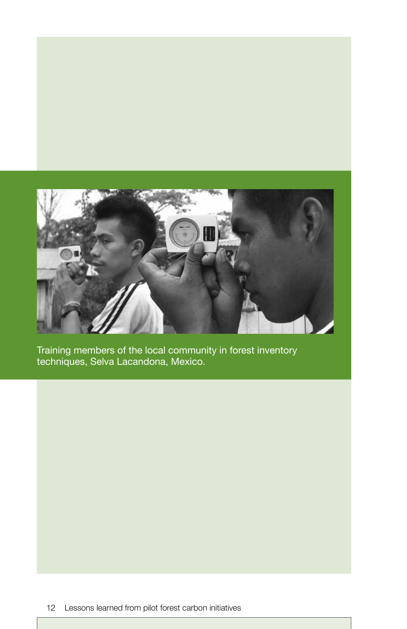

Training members of the local community in forest inventory techniques, Selva Lacandona, Mexico.

12 Lessons learned from pilot forest carbon initiatives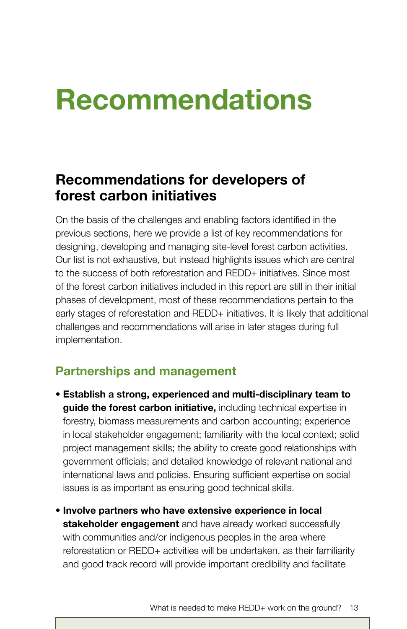## **Recommendations**

## **Recommendations for developers of forest carbon initiatives**

On the basis of the challenges and enabling factors identified in the previous sections, here we provide a list of key recommendations for designing, developing and managing site-level forest carbon activities. Our list is not exhaustive, but instead highlights issues which are central to the success of both reforestation and REDD+ initiatives. Since most of the forest carbon initiatives included in this report are still in their initial phases of development, most of these recommendations pertain to the early stages of reforestation and REDD+ initiatives. It is likely that additional challenges and recommendations will arise in later stages during full implementation.

## **Partnerships and management**

- **Establish a strong, experienced and multi-disciplinary team to guide the forest carbon initiative,** including technical expertise in forestry, biomass measurements and carbon accounting; experience in local stakeholder engagement; familiarity with the local context; solid project management skills; the ability to create good relationships with government officials; and detailed knowledge of relevant national and international laws and policies. Ensuring sufficient expertise on social issues is as important as ensuring good technical skills.
- **Involve partners who have extensive experience in local stakeholder engagement** and have already worked successfully with communities and/or indigenous peoples in the area where reforestation or REDD+ activities will be undertaken, as their familiarity and good track record will provide important credibility and facilitate

What is needed to make REDD+ work on the ground? 13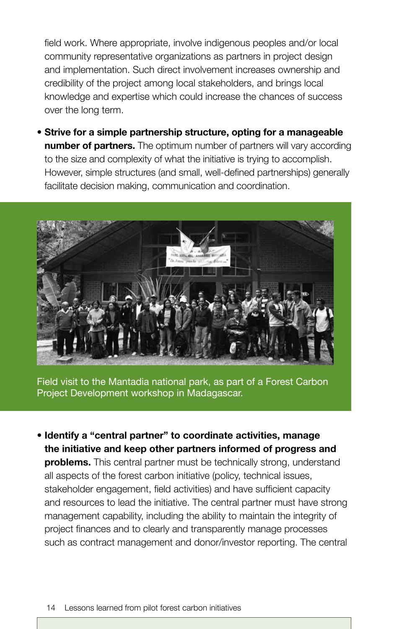field work. Where appropriate, involve indigenous peoples and/or local community representative organizations as partners in project design and implementation. Such direct involvement increases ownership and credibility of the project among local stakeholders, and brings local knowledge and expertise which could increase the chances of success over the long term.

• **Strive for a simple partnership structure, opting for a manageable number of partners.** The optimum number of partners will vary according to the size and complexity of what the initiative is trying to accomplish. However, simple structures (and small, well-defined partnerships) generally facilitate decision making, communication and coordination.



Field visit to the Mantadia national park, as part of a Forest Carbon Project Development workshop in Madagascar.

**• Identify a "central partner" to coordinate activities, manage the initiative and keep other partners informed of progress and problems.** This central partner must be technically strong, understand all aspects of the forest carbon initiative (policy, technical issues, stakeholder engagement, field activities) and have sufficient capacity and resources to lead the initiative. The central partner must have strong management capability, including the ability to maintain the integrity of project finances and to clearly and transparently manage processes such as contract management and donor/investor reporting. The central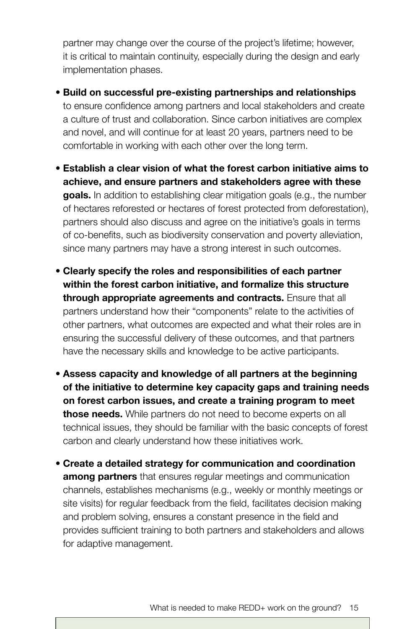partner may change over the course of the project's lifetime; however, it is critical to maintain continuity, especially during the design and early implementation phases.

- **Build on successful pre-existing partnerships and relationships** to ensure confidence among partners and local stakeholders and create a culture of trust and collaboration. Since carbon initiatives are complex and novel, and will continue for at least 20 years, partners need to be comfortable in working with each other over the long term.
- **Establish a clear vision of what the forest carbon initiative aims to achieve, and ensure partners and stakeholders agree with these goals.** In addition to establishing clear mitigation goals (e.g., the number of hectares reforested or hectares of forest protected from deforestation), partners should also discuss and agree on the initiative's goals in terms of co-benefits, such as biodiversity conservation and poverty alleviation, since many partners may have a strong interest in such outcomes.
- **Clearly specify the roles and responsibilities of each partner within the forest carbon initiative, and formalize this structure through appropriate agreements and contracts.** Ensure that all partners understand how their "components" relate to the activities of other partners, what outcomes are expected and what their roles are in ensuring the successful delivery of these outcomes, and that partners have the necessary skills and knowledge to be active participants.
- **Assess capacity and knowledge of all partners at the beginning of the initiative to determine key capacity gaps and training needs on forest carbon issues, and create a training program to meet those needs.** While partners do not need to become experts on all technical issues, they should be familiar with the basic concepts of forest carbon and clearly understand how these initiatives work.
- **Create a detailed strategy for communication and coordination among partners** that ensures regular meetings and communication channels, establishes mechanisms (e.g., weekly or monthly meetings or site visits) for regular feedback from the field, facilitates decision making and problem solving, ensures a constant presence in the field and provides sufficient training to both partners and stakeholders and allows for adaptive management.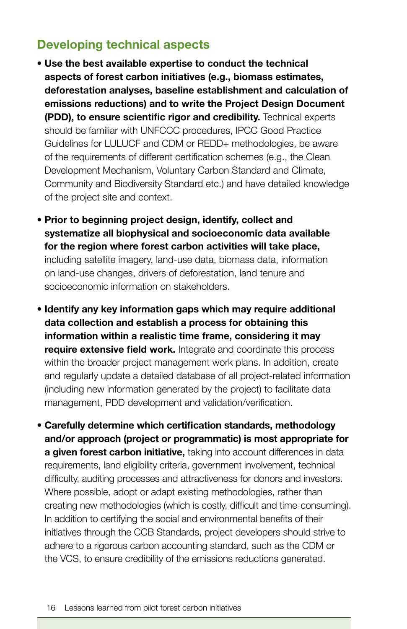## **Developing technical aspects**

- **Use the best available expertise to conduct the technical aspects of forest carbon initiatives (e.g., biomass estimates, deforestation analyses, baseline establishment and calculation of emissions reductions) and to write the Project Design Document (PDD), to ensure scientific rigor and credibility.** Technical experts should be familiar with UNFCCC procedures, IPCC Good Practice Guidelines for LULUCF and CDM or REDD+ methodologies, be aware of the requirements of different certification schemes (e.g., the Clean Development Mechanism, Voluntary Carbon Standard and Climate, Community and Biodiversity Standard etc.) and have detailed knowledge of the project site and context.
- **Prior to beginning project design, identify, collect and systematize all biophysical and socioeconomic data available for the region where forest carbon activities will take place,** including satellite imagery, land-use data, biomass data, information on land-use changes, drivers of deforestation, land tenure and socioeconomic information on stakeholders.
- **Identify any key information gaps which may require additional data collection and establish a process for obtaining this information within a realistic time frame, considering it may require extensive field work.** Integrate and coordinate this process within the broader project management work plans. In addition, create and regularly update a detailed database of all project-related information (including new information generated by the project) to facilitate data management, PDD development and validation/verification.
- **Carefully determine which certification standards, methodology and/or approach (project or programmatic) is most appropriate for a given forest carbon initiative,** taking into account differences in data requirements, land eligibility criteria, government involvement, technical difficulty, auditing processes and attractiveness for donors and investors. Where possible, adopt or adapt existing methodologies, rather than creating new methodologies (which is costly, difficult and time-consuming). In addition to certifying the social and environmental benefits of their initiatives through the CCB Standards, project developers should strive to adhere to a rigorous carbon accounting standard, such as the CDM or the VCS, to ensure credibility of the emissions reductions generated.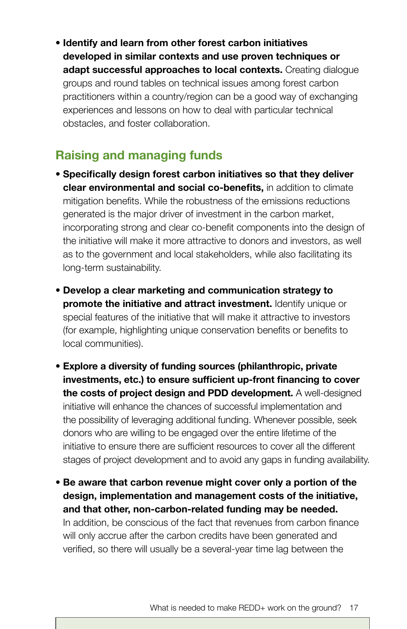**• Identify and learn from other forest carbon initiatives developed in similar contexts and use proven techniques or adapt successful approaches to local contexts.** Creating dialogue groups and round tables on technical issues among forest carbon practitioners within a country/region can be a good way of exchanging experiences and lessons on how to deal with particular technical obstacles, and foster collaboration.

## **Raising and managing funds**

- **Specifically design forest carbon initiatives so that they deliver clear environmental and social co-benefits,** in addition to climate mitigation benefits. While the robustness of the emissions reductions generated is the major driver of investment in the carbon market, incorporating strong and clear co-benefit components into the design of the initiative will make it more attractive to donors and investors, as well as to the government and local stakeholders, while also facilitating its long-term sustainability.
- **Develop a clear marketing and communication strategy to promote the initiative and attract investment.** Identify unique or special features of the initiative that will make it attractive to investors (for example, highlighting unique conservation benefits or benefits to local communities).
- **Explore a diversity of funding sources (philanthropic, private investments, etc.) to ensure sufficient up-front financing to cover the costs of project design and PDD development.** A well-designed initiative will enhance the chances of successful implementation and the possibility of leveraging additional funding. Whenever possible, seek donors who are willing to be engaged over the entire lifetime of the initiative to ensure there are sufficient resources to cover all the different stages of project development and to avoid any gaps in funding availability.
- **Be aware that carbon revenue might cover only a portion of the design, implementation and management costs of the initiative, and that other, non-carbon-related funding may be needed.**  In addition, be conscious of the fact that revenues from carbon finance will only accrue after the carbon credits have been generated and verified, so there will usually be a several-year time lag between the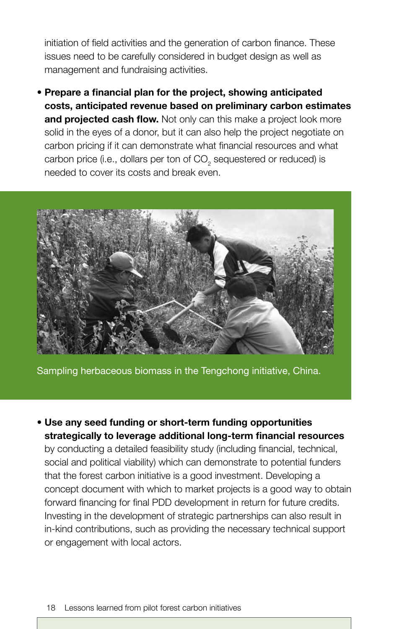initiation of field activities and the generation of carbon finance. These issues need to be carefully considered in budget design as well as management and fundraising activities.

• **Prepare a financial plan for the project, showing anticipated costs, anticipated revenue based on preliminary carbon estimates**  and projected cash flow. Not only can this make a project look more solid in the eyes of a donor, but it can also help the project negotiate on carbon pricing if it can demonstrate what financial resources and what carbon price (i.e., dollars per ton of  $\mathsf{CO}_2$  sequestered or reduced) is needed to cover its costs and break even.



Sampling herbaceous biomass in the Tengchong initiative, China.

• **Use any seed funding or short-term funding opportunities strategically to leverage additional long-term financial resources** by conducting a detailed feasibility study (including financial, technical, social and political viability) which can demonstrate to potential funders that the forest carbon initiative is a good investment. Developing a concept document with which to market projects is a good way to obtain forward financing for final PDD development in return for future credits. Investing in the development of strategic partnerships can also result in in-kind contributions, such as providing the necessary technical support or engagement with local actors.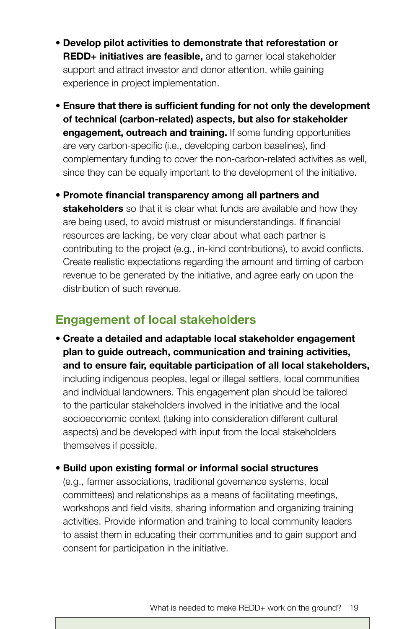- **Develop pilot activities to demonstrate that reforestation or REDD+ initiatives are feasible,** and to garner local stakeholder support and attract investor and donor attention, while gaining experience in project implementation.
- **Ensure that there is sufficient funding for not only the development of technical (carbon-related) aspects, but also for stakeholder engagement, outreach and training.** If some funding opportunities are very carbon-specific (i.e., developing carbon baselines), find complementary funding to cover the non-carbon-related activities as well, since they can be equally important to the development of the initiative.
- **Promote financial transparency among all partners and stakeholders** so that it is clear what funds are available and how they are being used, to avoid mistrust or misunderstandings. If financial resources are lacking, be very clear about what each partner is contributing to the project (e.g., in-kind contributions), to avoid conflicts. Create realistic expectations regarding the amount and timing of carbon revenue to be generated by the initiative, and agree early on upon the distribution of such revenue.

## **Engagement of local stakeholders**

- **Create a detailed and adaptable local stakeholder engagement plan to guide outreach, communication and training activities, and to ensure fair, equitable participation of all local stakeholders,** including indigenous peoples, legal or illegal settlers, local communities and individual landowners. This engagement plan should be tailored to the particular stakeholders involved in the initiative and the local socioeconomic context (taking into consideration different cultural aspects) and be developed with input from the local stakeholders themselves if possible.
- **Build upon existing formal or informal social structures**

(e.g., farmer associations, traditional governance systems, local committees) and relationships as a means of facilitating meetings, workshops and field visits, sharing information and organizing training activities. Provide information and training to local community leaders to assist them in educating their communities and to gain support and consent for participation in the initiative.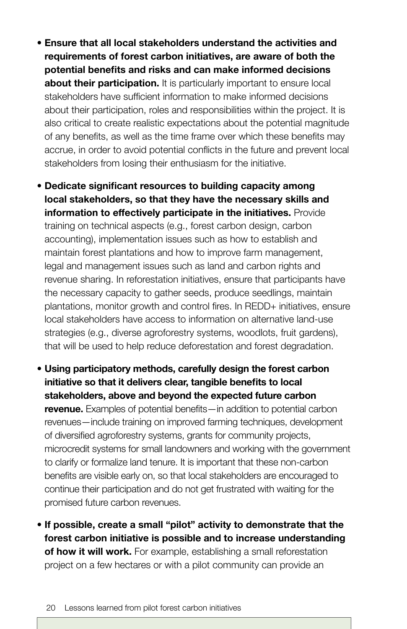• **Ensure that all local stakeholders understand the activities and requirements of forest carbon initiatives, are aware of both the potential benefits and risks and can make informed decisions about their participation.** It is particularly important to ensure local stakeholders have sufficient information to make informed decisions about their participation, roles and responsibilities within the project. It is also critical to create realistic expectations about the potential magnitude of any benefits, as well as the time frame over which these benefits may accrue, in order to avoid potential conflicts in the future and prevent local stakeholders from losing their enthusiasm for the initiative.

• **Dedicate significant resources to building capacity among local stakeholders, so that they have the necessary skills and information to effectively participate in the initiatives.** Provide training on technical aspects (e.g., forest carbon design, carbon accounting), implementation issues such as how to establish and maintain forest plantations and how to improve farm management, legal and management issues such as land and carbon rights and revenue sharing. In reforestation initiatives, ensure that participants have the necessary capacity to gather seeds, produce seedlings, maintain plantations, monitor growth and control fires. In REDD+ initiatives, ensure local stakeholders have access to information on alternative land-use strategies (e.g., diverse agroforestry systems, woodlots, fruit gardens), that will be used to help reduce deforestation and forest degradation.

• **Using participatory methods, carefully design the forest carbon initiative so that it delivers clear, tangible benefits to local stakeholders, above and beyond the expected future carbon revenue.** Examples of potential benefits—in addition to potential carbon revenues—include training on improved farming techniques, development of diversified agroforestry systems, grants for community projects, microcredit systems for small landowners and working with the government to clarify or formalize land tenure. It is important that these non-carbon benefits are visible early on, so that local stakeholders are encouraged to continue their participation and do not get frustrated with waiting for the promised future carbon revenues.

• **If possible, create a small "pilot" activity to demonstrate that the forest carbon initiative is possible and to increase understanding of how it will work.** For example, establishing a small reforestation project on a few hectares or with a pilot community can provide an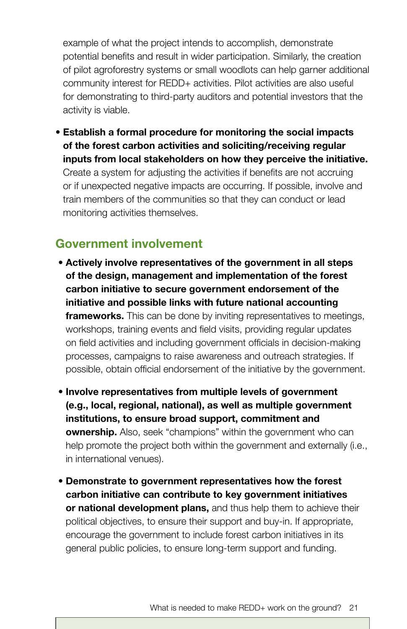example of what the project intends to accomplish, demonstrate potential benefits and result in wider participation. Similarly, the creation of pilot agroforestry systems or small woodlots can help garner additional community interest for REDD+ activities. Pilot activities are also useful for demonstrating to third-party auditors and potential investors that the activity is viable.

• **Establish a formal procedure for monitoring the social impacts of the forest carbon activities and soliciting/receiving regular inputs from local stakeholders on how they perceive the initiative.** Create a system for adjusting the activities if benefits are not accruing or if unexpected negative impacts are occurring. If possible, involve and train members of the communities so that they can conduct or lead monitoring activities themselves.

## **Government involvement**

- **Actively involve representatives of the government in all steps of the design, management and implementation of the forest carbon initiative to secure government endorsement of the initiative and possible links with future national accounting frameworks.** This can be done by inviting representatives to meetings, workshops, training events and field visits, providing regular updates on field activities and including government officials in decision-making processes, campaigns to raise awareness and outreach strategies. If possible, obtain official endorsement of the initiative by the government.
- **Involve representatives from multiple levels of government (e.g., local, regional, national), as well as multiple government institutions, to ensure broad support, commitment and ownership.** Also, seek "champions" within the government who can help promote the project both within the government and externally (i.e., in international venues).
- **Demonstrate to government representatives how the forest carbon initiative can contribute to key government initiatives or national development plans,** and thus help them to achieve their political objectives, to ensure their support and buy-in. If appropriate, encourage the government to include forest carbon initiatives in its general public policies, to ensure long-term support and funding.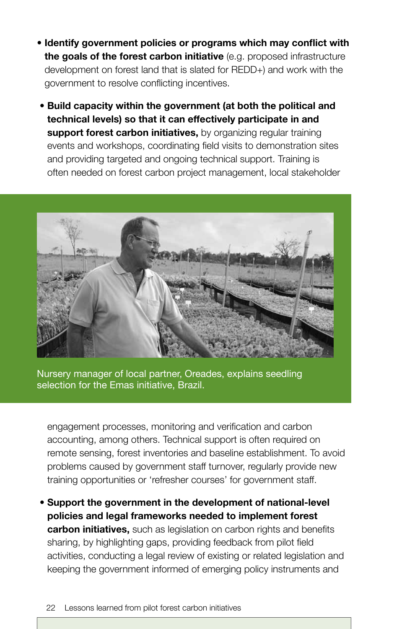- **Identify government policies or programs which may conflict with the goals of the forest carbon initiative** (e.g. proposed infrastructure development on forest land that is slated for REDD+) and work with the government to resolve conflicting incentives.
- **Build capacity within the government (at both the political and technical levels) so that it can effectively participate in and support forest carbon initiatives,** by organizing regular training events and workshops, coordinating field visits to demonstration sites and providing targeted and ongoing technical support. Training is often needed on forest carbon project management, local stakeholder



Nursery manager of local partner, Oreades, explains seedling selection for the Emas initiative, Brazil.

engagement processes, monitoring and verification and carbon accounting, among others. Technical support is often required on remote sensing, forest inventories and baseline establishment. To avoid problems caused by government staff turnover, regularly provide new training opportunities or 'refresher courses' for government staff.

 • **Support the government in the development of national-level policies and legal frameworks needed to implement forest carbon initiatives,** such as legislation on carbon rights and benefits sharing, by highlighting gaps, providing feedback from pilot field activities, conducting a legal review of existing or related legislation and keeping the government informed of emerging policy instruments and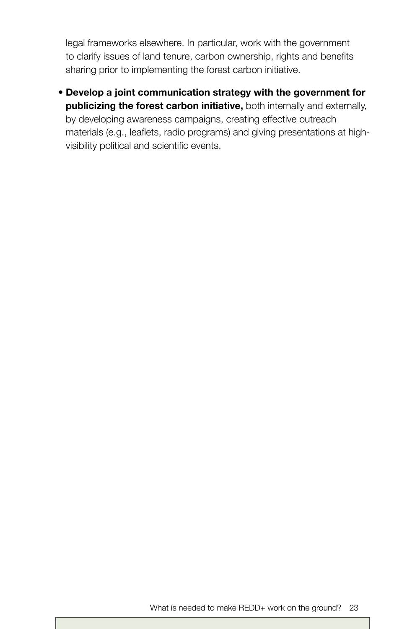legal frameworks elsewhere. In particular, work with the government to clarify issues of land tenure, carbon ownership, rights and benefits sharing prior to implementing the forest carbon initiative.

 • **Develop a joint communication strategy with the government for publicizing the forest carbon initiative,** both internally and externally, by developing awareness campaigns, creating effective outreach materials (e.g., leaflets, radio programs) and giving presentations at highvisibility political and scientific events.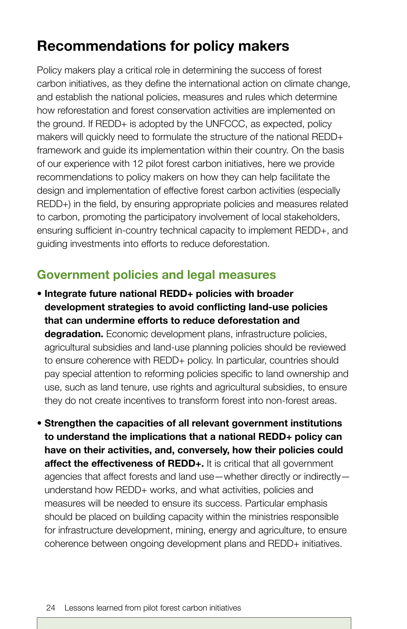## **Recommendations for policy makers**

Policy makers play a critical role in determining the success of forest carbon initiatives, as they define the international action on climate change, and establish the national policies, measures and rules which determine how reforestation and forest conservation activities are implemented on the ground. If REDD+ is adopted by the UNFCCC, as expected, policy makers will quickly need to formulate the structure of the national REDD+ framework and guide its implementation within their country. On the basis of our experience with 12 pilot forest carbon initiatives, here we provide recommendations to policy makers on how they can help facilitate the design and implementation of effective forest carbon activities (especially REDD+) in the field, by ensuring appropriate policies and measures related to carbon, promoting the participatory involvement of local stakeholders, ensuring sufficient in-country technical capacity to implement REDD+, and guiding investments into efforts to reduce deforestation.

## **Government policies and legal measures**

- **Integrate future national REDD+ policies with broader development strategies to avoid conflicting land-use policies that can undermine efforts to reduce deforestation and degradation.** Economic development plans, infrastructure policies, agricultural subsidies and land-use planning policies should be reviewed to ensure coherence with REDD+ policy. In particular, countries should pay special attention to reforming policies specific to land ownership and use, such as land tenure, use rights and agricultural subsidies, to ensure they do not create incentives to transform forest into non-forest areas.
- **Strengthen the capacities of all relevant government institutions to understand the implications that a national REDD+ policy can have on their activities, and, conversely, how their policies could affect the effectiveness of REDD+.** It is critical that all government agencies that affect forests and land use—whether directly or indirectly understand how REDD+ works, and what activities, policies and measures will be needed to ensure its success. Particular emphasis should be placed on building capacity within the ministries responsible for infrastructure development, mining, energy and agriculture, to ensure coherence between ongoing development plans and REDD+ initiatives.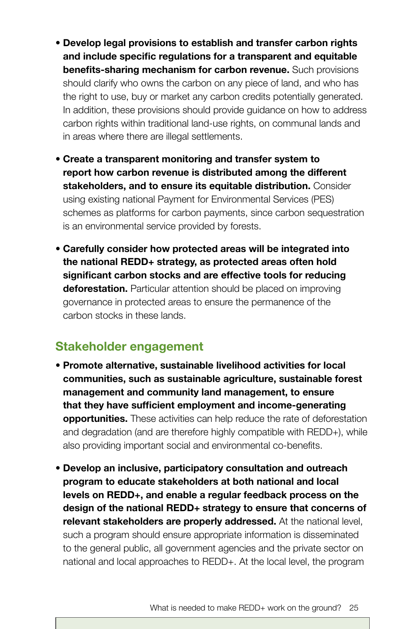- **Develop legal provisions to establish and transfer carbon rights and include specific regulations for a transparent and equitable benefits-sharing mechanism for carbon revenue.** Such provisions should clarify who owns the carbon on any piece of land, and who has the right to use, buy or market any carbon credits potentially generated. In addition, these provisions should provide guidance on how to address carbon rights within traditional land-use rights, on communal lands and in areas where there are illegal settlements.
- **Create a transparent monitoring and transfer system to report how carbon revenue is distributed among the different stakeholders, and to ensure its equitable distribution.** Consider using existing national Payment for Environmental Services (PES) schemes as platforms for carbon payments, since carbon sequestration is an environmental service provided by forests.
- **Carefully consider how protected areas will be integrated into the national REDD+ strategy, as protected areas often hold significant carbon stocks and are effective tools for reducing deforestation.** Particular attention should be placed on improving governance in protected areas to ensure the permanence of the carbon stocks in these lands.

## **Stakeholder engagement**

- **Promote alternative, sustainable livelihood activities for local communities, such as sustainable agriculture, sustainable forest management and community land management, to ensure that they have sufficient employment and income-generating opportunities.** These activities can help reduce the rate of deforestation and degradation (and are therefore highly compatible with REDD+), while also providing important social and environmental co-benefits.
- **Develop an inclusive, participatory consultation and outreach program to educate stakeholders at both national and local levels on REDD+, and enable a regular feedback process on the design of the national REDD+ strategy to ensure that concerns of relevant stakeholders are properly addressed.** At the national level, such a program should ensure appropriate information is disseminated to the general public, all government agencies and the private sector on national and local approaches to REDD+. At the local level, the program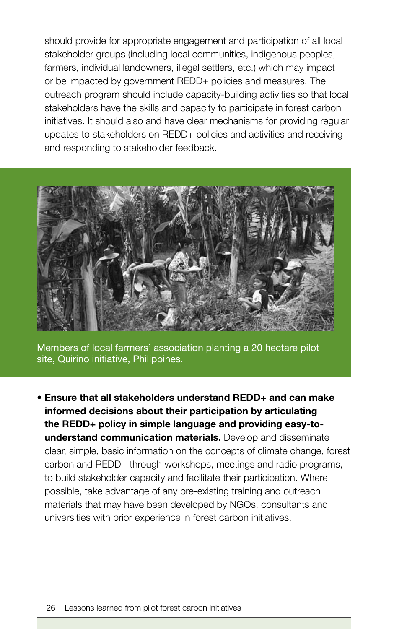should provide for appropriate engagement and participation of all local stakeholder groups (including local communities, indigenous peoples, farmers, individual landowners, illegal settlers, etc.) which may impact or be impacted by government REDD+ policies and measures. The outreach program should include capacity-building activities so that local stakeholders have the skills and capacity to participate in forest carbon initiatives. It should also and have clear mechanisms for providing regular updates to stakeholders on REDD+ policies and activities and receiving and responding to stakeholder feedback.



Members of local farmers' association planting a 20 hectare pilot site, Quirino initiative, Philippines.

• **Ensure that all stakeholders understand REDD+ and can make informed decisions about their participation by articulating the REDD+ policy in simple language and providing easy-tounderstand communication materials.** Develop and disseminate clear, simple, basic information on the concepts of climate change, forest carbon and REDD+ through workshops, meetings and radio programs, to build stakeholder capacity and facilitate their participation. Where possible, take advantage of any pre-existing training and outreach materials that may have been developed by NGOs, consultants and universities with prior experience in forest carbon initiatives.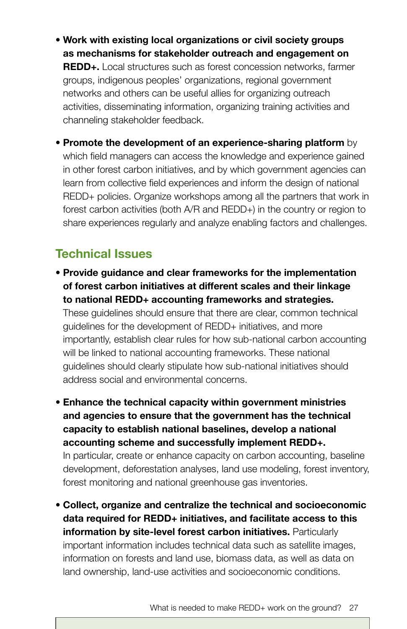- **Work with existing local organizations or civil society groups as mechanisms for stakeholder outreach and engagement on REDD+.** Local structures such as forest concession networks, farmer groups, indigenous peoples' organizations, regional government networks and others can be useful allies for organizing outreach activities, disseminating information, organizing training activities and channeling stakeholder feedback.
- **Promote the development of an experience-sharing platform** by which field managers can access the knowledge and experience gained in other forest carbon initiatives, and by which government agencies can learn from collective field experiences and inform the design of national REDD+ policies. Organize workshops among all the partners that work in forest carbon activities (both A/R and REDD+) in the country or region to share experiences regularly and analyze enabling factors and challenges.

## **Technical Issues**

• **Provide guidance and clear frameworks for the implementation of forest carbon initiatives at different scales and their linkage to national REDD+ accounting frameworks and strategies.**

These guidelines should ensure that there are clear, common technical guidelines for the development of REDD+ initiatives, and more importantly, establish clear rules for how sub-national carbon accounting will be linked to national accounting frameworks. These national guidelines should clearly stipulate how sub-national initiatives should address social and environmental concerns.

• **Enhance the technical capacity within government ministries and agencies to ensure that the government has the technical capacity to establish national baselines, develop a national accounting scheme and successfully implement REDD+.**

In particular, create or enhance capacity on carbon accounting, baseline development, deforestation analyses, land use modeling, forest inventory, forest monitoring and national greenhouse gas inventories.

• **Collect, organize and centralize the technical and socioeconomic data required for REDD+ initiatives, and facilitate access to this information by site-level forest carbon initiatives.** Particularly important information includes technical data such as satellite images, information on forests and land use, biomass data, as well as data on land ownership, land-use activities and socioeconomic conditions.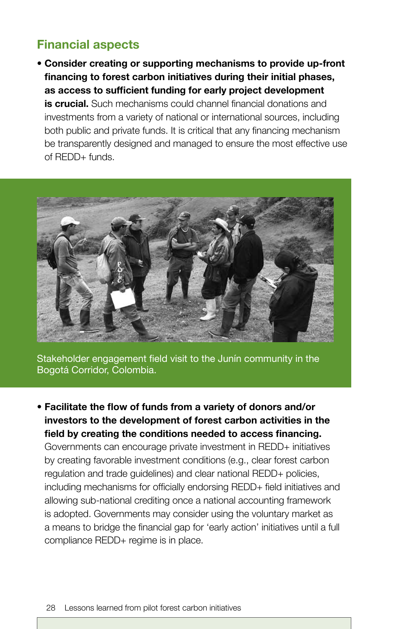## **Financial aspects**

• **Consider creating or supporting mechanisms to provide up-front financing to forest carbon initiatives during their initial phases, as access to sufficient funding for early project development is crucial.** Such mechanisms could channel financial donations and investments from a variety of national or international sources, including both public and private funds. It is critical that any financing mechanism be transparently designed and managed to ensure the most effective use of REDD+ funds.



Stakeholder engagement field visit to the Junín community in the Bogotá Corridor, Colombia.

• **Facilitate the flow of funds from a variety of donors and/or investors to the development of forest carbon activities in the field by creating the conditions needed to access financing.** Governments can encourage private investment in REDD+ initiatives by creating favorable investment conditions (e.g., clear forest carbon regulation and trade guidelines) and clear national REDD+ policies, including mechanisms for officially endorsing REDD+ field initiatives and allowing sub-national crediting once a national accounting framework is adopted. Governments may consider using the voluntary market as a means to bridge the financial gap for 'early action' initiatives until a full compliance REDD+ regime is in place.